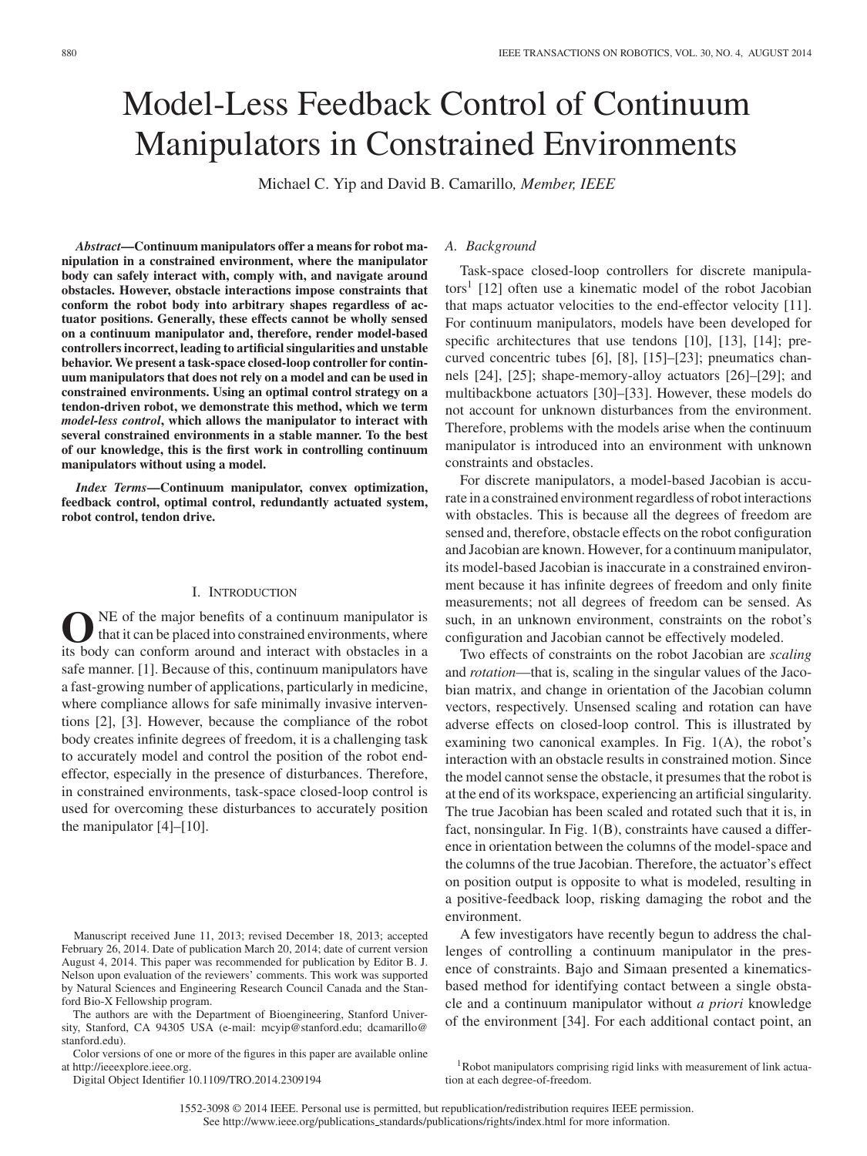# Model-Less Feedback Control of Continuum Manipulators in Constrained Environments

Michael C. Yip and David B. Camarillo*, Member, IEEE*

*Abstract***—Continuum manipulators offer a means for robot manipulation in a constrained environment, where the manipulator body can safely interact with, comply with, and navigate around obstacles. However, obstacle interactions impose constraints that conform the robot body into arbitrary shapes regardless of actuator positions. Generally, these effects cannot be wholly sensed on a continuum manipulator and, therefore, render model-based controllers incorrect, leading to artificial singularities and unstable behavior. We present a task-space closed-loop controller for continuum manipulators that does not rely on a model and can be used in constrained environments. Using an optimal control strategy on a tendon-driven robot, we demonstrate this method, which we term** *model-less control***, which allows the manipulator to interact with several constrained environments in a stable manner. To the best of our knowledge, this is the first work in controlling continuum manipulators without using a model.**

*Index Terms***—Continuum manipulator, convex optimization, feedback control, optimal control, redundantly actuated system, robot control, tendon drive.**

## I. INTRODUCTION

NE of the major benefits of a continuum manipulator is that it can be placed into constrained environments, where its body can conform around and interact with obstacles in a safe manner. [1]. Because of this, continuum manipulators have a fast-growing number of applications, particularly in medicine, where compliance allows for safe minimally invasive interventions [2], [3]. However, because the compliance of the robot body creates infinite degrees of freedom, it is a challenging task to accurately model and control the position of the robot endeffector, especially in the presence of disturbances. Therefore, in constrained environments, task-space closed-loop control is used for overcoming these disturbances to accurately position the manipulator [4]–[10].

The authors are with the Department of Bioengineering, Stanford University, Stanford, CA 94305 USA (e-mail: mcyip@stanford.edu; dcamarillo@ stanford.edu).

Color versions of one or more of the figures in this paper are available online at http://ieeexplore.ieee.org.

Digital Object Identifier 10.1109/TRO.2014.2309194

# *A. Background*

Task-space closed-loop controllers for discrete manipulators<sup>1</sup> [12] often use a kinematic model of the robot Jacobian that maps actuator velocities to the end-effector velocity [11]. For continuum manipulators, models have been developed for specific architectures that use tendons [10], [13], [14]; precurved concentric tubes [6], [8], [15]–[23]; pneumatics channels [24], [25]; shape-memory-alloy actuators [26]–[29]; and multibackbone actuators [30]–[33]. However, these models do not account for unknown disturbances from the environment. Therefore, problems with the models arise when the continuum manipulator is introduced into an environment with unknown constraints and obstacles.

For discrete manipulators, a model-based Jacobian is accurate in a constrained environment regardless of robot interactions with obstacles. This is because all the degrees of freedom are sensed and, therefore, obstacle effects on the robot configuration and Jacobian are known. However, for a continuum manipulator, its model-based Jacobian is inaccurate in a constrained environment because it has infinite degrees of freedom and only finite measurements; not all degrees of freedom can be sensed. As such, in an unknown environment, constraints on the robot's configuration and Jacobian cannot be effectively modeled.

Two effects of constraints on the robot Jacobian are *scaling* and *rotation*—that is, scaling in the singular values of the Jacobian matrix, and change in orientation of the Jacobian column vectors, respectively. Unsensed scaling and rotation can have adverse effects on closed-loop control. This is illustrated by examining two canonical examples. In Fig. 1(A), the robot's interaction with an obstacle results in constrained motion. Since the model cannot sense the obstacle, it presumes that the robot is at the end of its workspace, experiencing an artificial singularity. The true Jacobian has been scaled and rotated such that it is, in fact, nonsingular. In Fig. 1(B), constraints have caused a difference in orientation between the columns of the model-space and the columns of the true Jacobian. Therefore, the actuator's effect on position output is opposite to what is modeled, resulting in a positive-feedback loop, risking damaging the robot and the environment.

A few investigators have recently begun to address the challenges of controlling a continuum manipulator in the presence of constraints. Bajo and Simaan presented a kinematicsbased method for identifying contact between a single obstacle and a continuum manipulator without *a priori* knowledge of the environment [34]. For each additional contact point, an

Manuscript received June 11, 2013; revised December 18, 2013; accepted February 26, 2014. Date of publication March 20, 2014; date of current version August 4, 2014. This paper was recommended for publication by Editor B. J. Nelson upon evaluation of the reviewers' comments. This work was supported by Natural Sciences and Engineering Research Council Canada and the Stanford Bio-X Fellowship program.

<sup>&</sup>lt;sup>1</sup>Robot manipulators comprising rigid links with measurement of link actuation at each degree-of-freedom.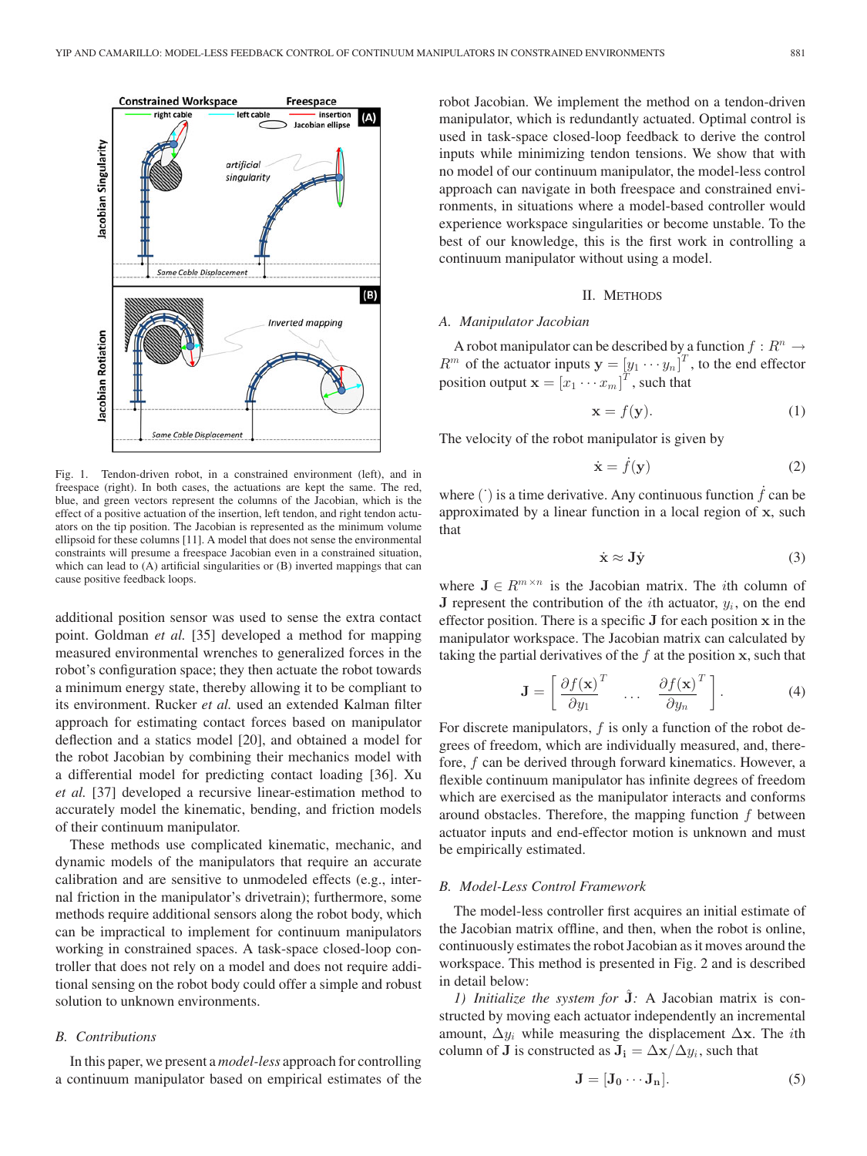

Fig. 1. Tendon-driven robot, in a constrained environment (left), and in freespace (right). In both cases, the actuations are kept the same. The red, blue, and green vectors represent the columns of the Jacobian, which is the effect of a positive actuation of the insertion, left tendon, and right tendon actuators on the tip position. The Jacobian is represented as the minimum volume ellipsoid for these columns [11]. A model that does not sense the environmental constraints will presume a freespace Jacobian even in a constrained situation, which can lead to (A) artificial singularities or (B) inverted mappings that can cause positive feedback loops.

additional position sensor was used to sense the extra contact point. Goldman *et al.* [35] developed a method for mapping measured environmental wrenches to generalized forces in the robot's configuration space; they then actuate the robot towards a minimum energy state, thereby allowing it to be compliant to its environment. Rucker *et al.* used an extended Kalman filter approach for estimating contact forces based on manipulator deflection and a statics model [20], and obtained a model for the robot Jacobian by combining their mechanics model with a differential model for predicting contact loading [36]. Xu *et al.* [37] developed a recursive linear-estimation method to accurately model the kinematic, bending, and friction models of their continuum manipulator.

These methods use complicated kinematic, mechanic, and dynamic models of the manipulators that require an accurate calibration and are sensitive to unmodeled effects (e.g., internal friction in the manipulator's drivetrain); furthermore, some methods require additional sensors along the robot body, which can be impractical to implement for continuum manipulators working in constrained spaces. A task-space closed-loop controller that does not rely on a model and does not require additional sensing on the robot body could offer a simple and robust solution to unknown environments.

# *B. Contributions*

In this paper, we present a *model-less* approach for controlling a continuum manipulator based on empirical estimates of the robot Jacobian. We implement the method on a tendon-driven manipulator, which is redundantly actuated. Optimal control is used in task-space closed-loop feedback to derive the control inputs while minimizing tendon tensions. We show that with no model of our continuum manipulator, the model-less control approach can navigate in both freespace and constrained environments, in situations where a model-based controller would experience workspace singularities or become unstable. To the best of our knowledge, this is the first work in controlling a continuum manipulator without using a model.

# II. METHODS

# *A. Manipulator Jacobian*

A robot manipulator can be described by a function  $f : R^n \to$  $R^m$  of the actuator inputs  $\mathbf{y} = [y_1 \cdots y_n]^T$ , to the end effector position output  $\mathbf{x} = \left[x_1 \cdots x_m\right]^T$ , such that

$$
\mathbf{x} = f(\mathbf{y}).\tag{1}
$$

The velocity of the robot manipulator is given by

$$
\dot{\mathbf{x}} = \dot{f}(\mathbf{y}) \tag{2}
$$

where  $(')$  is a time derivative. Any continuous function  $f$  can be approximated by a linear function in a local region of **x**, such that

$$
\dot{\mathbf{x}} \approx \mathbf{J}\dot{\mathbf{y}} \tag{3}
$$

where  $J \in R^{m \times n}$  is the Jacobian matrix. The *i*th column of **J** represent the contribution of the *i*th actuator,  $y_i$ , on the end effector position. There is a specific **J** for each position **x** in the manipulator workspace. The Jacobian matrix can calculated by taking the partial derivatives of the  $f$  at the position  $x$ , such that

$$
\mathbf{J} = \begin{bmatrix} \frac{\partial f(\mathbf{x})}{\partial y_1}^T & \dots & \frac{\partial f(\mathbf{x})}{\partial y_n}^T \end{bmatrix} . \tag{4}
$$

For discrete manipulators,  $f$  is only a function of the robot degrees of freedom, which are individually measured, and, therefore, f can be derived through forward kinematics. However, a flexible continuum manipulator has infinite degrees of freedom which are exercised as the manipulator interacts and conforms around obstacles. Therefore, the mapping function  $f$  between actuator inputs and end-effector motion is unknown and must be empirically estimated.

# *B. Model-Less Control Framework*

The model-less controller first acquires an initial estimate of the Jacobian matrix offline, and then, when the robot is online, continuously estimates the robot Jacobian as it moves around the workspace. This method is presented in Fig. 2 and is described in detail below:

*1) Initialize the system for* **J**ˆ*:* A Jacobian matrix is constructed by moving each actuator independently an incremental amount,  $\Delta y_i$  while measuring the displacement  $\Delta x$ . The *i*th column of **J** is constructed as  $J_i = \Delta x / \Delta y_i$ , such that

$$
\mathbf{J} = [\mathbf{J}_0 \cdots \mathbf{J}_n]. \tag{5}
$$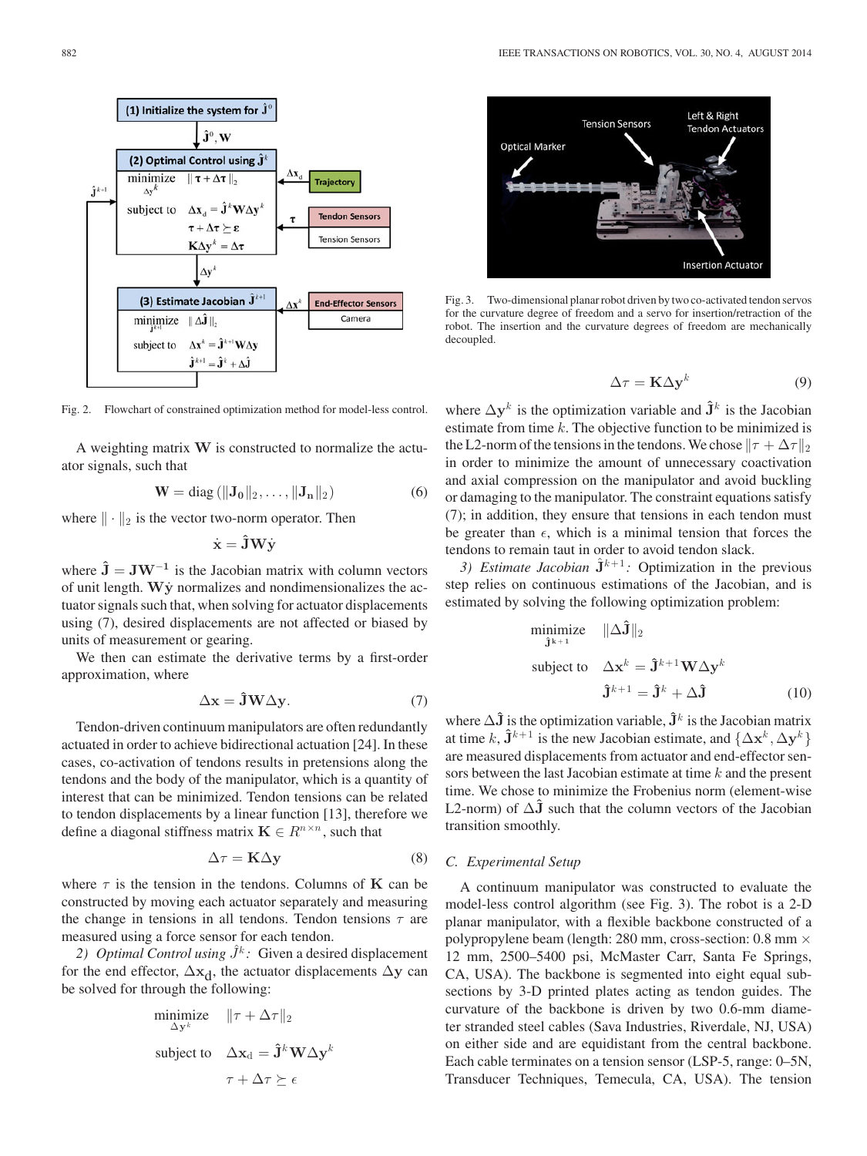

Fig. 2. Flowchart of constrained optimization method for model-less control.

A weighting matrix **W** is constructed to normalize the actuator signals, such that

$$
\mathbf{W} = \text{diag}\left(\|\mathbf{J}_0\|_2, \dots, \|\mathbf{J}_n\|_2\right) \tag{6}
$$

where  $\|\cdot\|_2$  is the vector two-norm operator. Then

$$
\dot{\mathbf{x}} = \hat{\mathbf{J}} \mathbf{W} \dot{\mathbf{y}}
$$

where  $\hat{\mathbf{J}} = \mathbf{J}\mathbf{W}^{-1}$  is the Jacobian matrix with column vectors of unit length. **Wy**˙ normalizes and nondimensionalizes the actuator signals such that, when solving for actuator displacements using (7), desired displacements are not affected or biased by units of measurement or gearing.

We then can estimate the derivative terms by a first-order approximation, where

$$
\Delta \mathbf{x} = \hat{\mathbf{J}} \mathbf{W} \Delta \mathbf{y}.
$$
 (7)

Tendon-driven continuum manipulators are often redundantly actuated in order to achieve bidirectional actuation [24]. In these cases, co-activation of tendons results in pretensions along the tendons and the body of the manipulator, which is a quantity of interest that can be minimized. Tendon tensions can be related to tendon displacements by a linear function [13], therefore we define a diagonal stiffness matrix  $\mathbf{K} \in \mathbb{R}^{n \times n}$ , such that

$$
\Delta \tau = \mathbf{K} \Delta \mathbf{y} \tag{8}
$$

where  $\tau$  is the tension in the tendons. Columns of **K** can be constructed by moving each actuator separately and measuring the change in tensions in all tendons. Tendon tensions  $\tau$  are measured using a force sensor for each tendon.

2) *Optimal Control using*  $\hat{J}^k$ : Given a desired displacement for the end effector,  $\Delta x_d$ , the actuator displacements  $\Delta y$  can be solved for through the following:

minimize 
$$
\|\tau + \Delta \tau\|_2
$$
  
\nsubject to  $\Delta \mathbf{x}_d = \hat{\mathbf{J}}^k \mathbf{W} \Delta \mathbf{y}^k$   
\n $\tau + \Delta \tau \succeq \epsilon$ 



Fig. 3. Two-dimensional planar robot driven by two co-activated tendon servos for the curvature degree of freedom and a servo for insertion/retraction of the robot. The insertion and the curvature degrees of freedom are mechanically decoupled.

$$
\Delta \tau = \mathbf{K} \Delta \mathbf{y}^k \tag{9}
$$

where  $\Delta y^k$  is the optimization variable and  $\hat{J}^k$  is the Jacobian estimate from time k. The objective function to be minimized is the L2-norm of the tensions in the tendons. We chose  $||\tau + \Delta \tau||_2$ in order to minimize the amount of unnecessary coactivation and axial compression on the manipulator and avoid buckling or damaging to the manipulator. The constraint equations satisfy (7); in addition, they ensure that tensions in each tendon must be greater than  $\epsilon$ , which is a minimal tension that forces the tendons to remain taut in order to avoid tendon slack.

*3) Estimate Jacobian*  $\hat{\mathbf{J}}^{k+1}$ *:* Optimization in the previous step relies on continuous estimations of the Jacobian, and is estimated by solving the following optimization problem:

minimize 
$$
\|\Delta \hat{\mathbf{J}}\|_2
$$
  
\nsubject to  $\Delta \mathbf{x}^k = \hat{\mathbf{J}}^{k+1} \mathbf{W} \Delta \mathbf{y}^k$   
\n
$$
\hat{\mathbf{J}}^{k+1} = \hat{\mathbf{J}}^k + \Delta \hat{\mathbf{J}}
$$
\n(10)

where  $\Delta \hat{\mathbf{J}}$  is the optimization variable,  $\hat{\mathbf{J}}^k$  is the Jacobian matrix at time k,  $\hat{\mathbf{J}}^{k+1}$  is the new Jacobian estimate, and  $\{\Delta \mathbf{x}^k, \Delta \mathbf{y}^k\}$ are measured displacements from actuator and end-effector sensors between the last Jacobian estimate at time k and the present time. We chose to minimize the Frobenius norm (element-wise L2-norm) of  $\Delta \vec{J}$  such that the column vectors of the Jacobian transition smoothly.

#### *C. Experimental Setup*

A continuum manipulator was constructed to evaluate the model-less control algorithm (see Fig. 3). The robot is a 2-D planar manipulator, with a flexible backbone constructed of a polypropylene beam (length: 280 mm, cross-section: 0.8 mm  $\times$ 12 mm, 2500–5400 psi, McMaster Carr, Santa Fe Springs, CA, USA). The backbone is segmented into eight equal subsections by 3-D printed plates acting as tendon guides. The curvature of the backbone is driven by two 0.6-mm diameter stranded steel cables (Sava Industries, Riverdale, NJ, USA) on either side and are equidistant from the central backbone. Each cable terminates on a tension sensor (LSP-5, range: 0–5N, Transducer Techniques, Temecula, CA, USA). The tension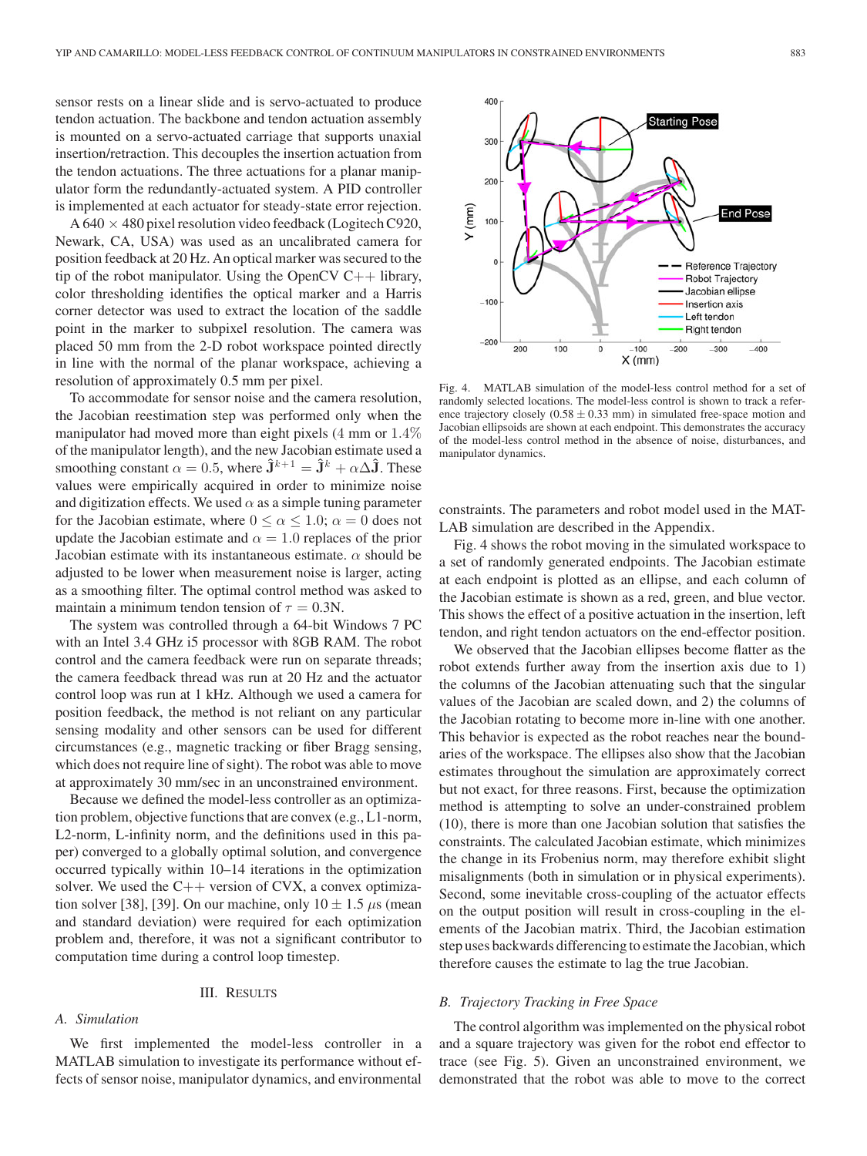sensor rests on a linear slide and is servo-actuated to produce tendon actuation. The backbone and tendon actuation assembly is mounted on a servo-actuated carriage that supports unaxial insertion/retraction. This decouples the insertion actuation from the tendon actuations. The three actuations for a planar manipulator form the redundantly-actuated system. A PID controller is implemented at each actuator for steady-state error rejection.

 $A 640 \times 480$  pixel resolution video feedback (Logitech C920, Newark, CA, USA) was used as an uncalibrated camera for position feedback at 20 Hz. An optical marker was secured to the tip of the robot manipulator. Using the OpenCV  $C_{++}$  library, color thresholding identifies the optical marker and a Harris corner detector was used to extract the location of the saddle point in the marker to subpixel resolution. The camera was placed 50 mm from the 2-D robot workspace pointed directly in line with the normal of the planar workspace, achieving a resolution of approximately 0.5 mm per pixel.

To accommodate for sensor noise and the camera resolution, the Jacobian reestimation step was performed only when the manipulator had moved more than eight pixels (4 mm or 1.4% of the manipulator length), and the new Jacobian estimate used a smoothing constant  $\alpha = 0.5$ , where  $\hat{\mathbf{J}}^{k+1} = \hat{\mathbf{J}}^k + \alpha \Delta \hat{\mathbf{J}}$ . These values were empirically acquired in order to minimize noise and digitization effects. We used  $\alpha$  as a simple tuning parameter for the Jacobian estimate, where  $0 \le \alpha \le 1.0$ ;  $\alpha = 0$  does not update the Jacobian estimate and  $\alpha = 1.0$  replaces of the prior Jacobian estimate with its instantaneous estimate.  $\alpha$  should be adjusted to be lower when measurement noise is larger, acting as a smoothing filter. The optimal control method was asked to maintain a minimum tendon tension of  $\tau = 0.3$ N.

The system was controlled through a 64-bit Windows 7 PC with an Intel 3.4 GHz i5 processor with 8GB RAM. The robot control and the camera feedback were run on separate threads; the camera feedback thread was run at 20 Hz and the actuator control loop was run at 1 kHz. Although we used a camera for position feedback, the method is not reliant on any particular sensing modality and other sensors can be used for different circumstances (e.g., magnetic tracking or fiber Bragg sensing, which does not require line of sight). The robot was able to move at approximately 30 mm/sec in an unconstrained environment.

Because we defined the model-less controller as an optimization problem, objective functions that are convex (e.g., L1-norm, L2-norm, L-infinity norm, and the definitions used in this paper) converged to a globally optimal solution, and convergence occurred typically within 10–14 iterations in the optimization solver. We used the  $C++$  version of CVX, a convex optimization solver [38], [39]. On our machine, only  $10 \pm 1.5 \,\mu s$  (mean and standard deviation) were required for each optimization problem and, therefore, it was not a significant contributor to computation time during a control loop timestep.

# III. RESULTS

# *A. Simulation*

We first implemented the model-less controller in a MATLAB simulation to investigate its performance without effects of sensor noise, manipulator dynamics, and environmental



Fig. 4. MATLAB simulation of the model-less control method for a set of randomly selected locations. The model-less control is shown to track a reference trajectory closely  $(0.58 \pm 0.33 \text{ mm})$  in simulated free-space motion and Jacobian ellipsoids are shown at each endpoint. This demonstrates the accuracy of the model-less control method in the absence of noise, disturbances, and manipulator dynamics.

constraints. The parameters and robot model used in the MAT-LAB simulation are described in the Appendix.

Fig. 4 shows the robot moving in the simulated workspace to a set of randomly generated endpoints. The Jacobian estimate at each endpoint is plotted as an ellipse, and each column of the Jacobian estimate is shown as a red, green, and blue vector. This shows the effect of a positive actuation in the insertion, left tendon, and right tendon actuators on the end-effector position.

We observed that the Jacobian ellipses become flatter as the robot extends further away from the insertion axis due to 1) the columns of the Jacobian attenuating such that the singular values of the Jacobian are scaled down, and 2) the columns of the Jacobian rotating to become more in-line with one another. This behavior is expected as the robot reaches near the boundaries of the workspace. The ellipses also show that the Jacobian estimates throughout the simulation are approximately correct but not exact, for three reasons. First, because the optimization method is attempting to solve an under-constrained problem (10), there is more than one Jacobian solution that satisfies the constraints. The calculated Jacobian estimate, which minimizes the change in its Frobenius norm, may therefore exhibit slight misalignments (both in simulation or in physical experiments). Second, some inevitable cross-coupling of the actuator effects on the output position will result in cross-coupling in the elements of the Jacobian matrix. Third, the Jacobian estimation step uses backwards differencing to estimate the Jacobian, which therefore causes the estimate to lag the true Jacobian.

# *B. Trajectory Tracking in Free Space*

The control algorithm was implemented on the physical robot and a square trajectory was given for the robot end effector to trace (see Fig. 5). Given an unconstrained environment, we demonstrated that the robot was able to move to the correct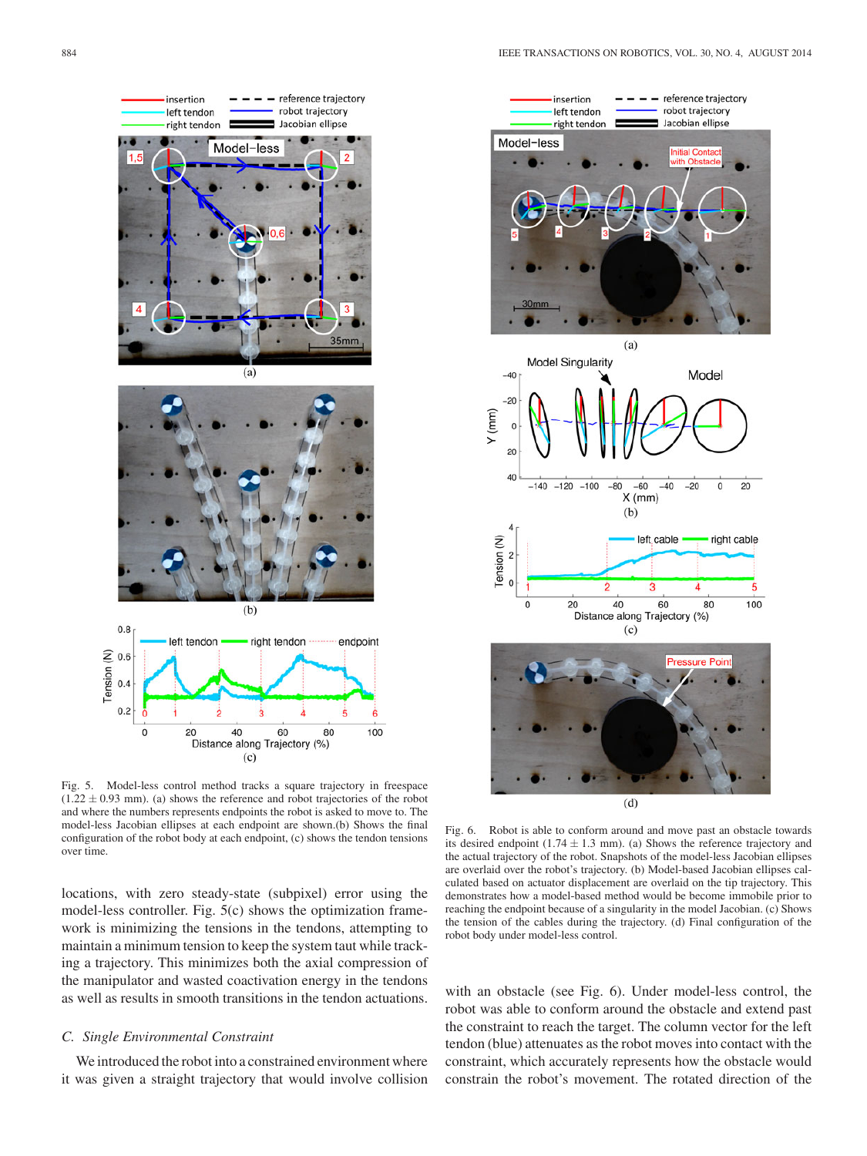

Fig. 5. Model-less control method tracks a square trajectory in freespace  $(1.22 \pm 0.93 \text{ mm})$ . (a) shows the reference and robot trajectories of the robot and where the numbers represents endpoints the robot is asked to move to. The model-less Jacobian ellipses at each endpoint are shown.(b) Shows the final configuration of the robot body at each endpoint, (c) shows the tendon tensions over time.

locations, with zero steady-state (subpixel) error using the model-less controller. Fig. 5(c) shows the optimization framework is minimizing the tensions in the tendons, attempting to maintain a minimum tension to keep the system taut while tracking a trajectory. This minimizes both the axial compression of the manipulator and wasted coactivation energy in the tendons as well as results in smooth transitions in the tendon actuations.

# *C. Single Environmental Constraint*

We introduced the robot into a constrained environment where it was given a straight trajectory that would involve collision



Fig. 6. Robot is able to conform around and move past an obstacle towards its desired endpoint  $(1.74 \pm 1.3 \text{ mm})$ . (a) Shows the reference trajectory and the actual trajectory of the robot. Snapshots of the model-less Jacobian ellipses are overlaid over the robot's trajectory. (b) Model-based Jacobian ellipses calculated based on actuator displacement are overlaid on the tip trajectory. This demonstrates how a model-based method would be become immobile prior to reaching the endpoint because of a singularity in the model Jacobian. (c) Shows the tension of the cables during the trajectory. (d) Final configuration of the robot body under model-less control.

with an obstacle (see Fig. 6). Under model-less control, the robot was able to conform around the obstacle and extend past the constraint to reach the target. The column vector for the left tendon (blue) attenuates as the robot moves into contact with the constraint, which accurately represents how the obstacle would constrain the robot's movement. The rotated direction of the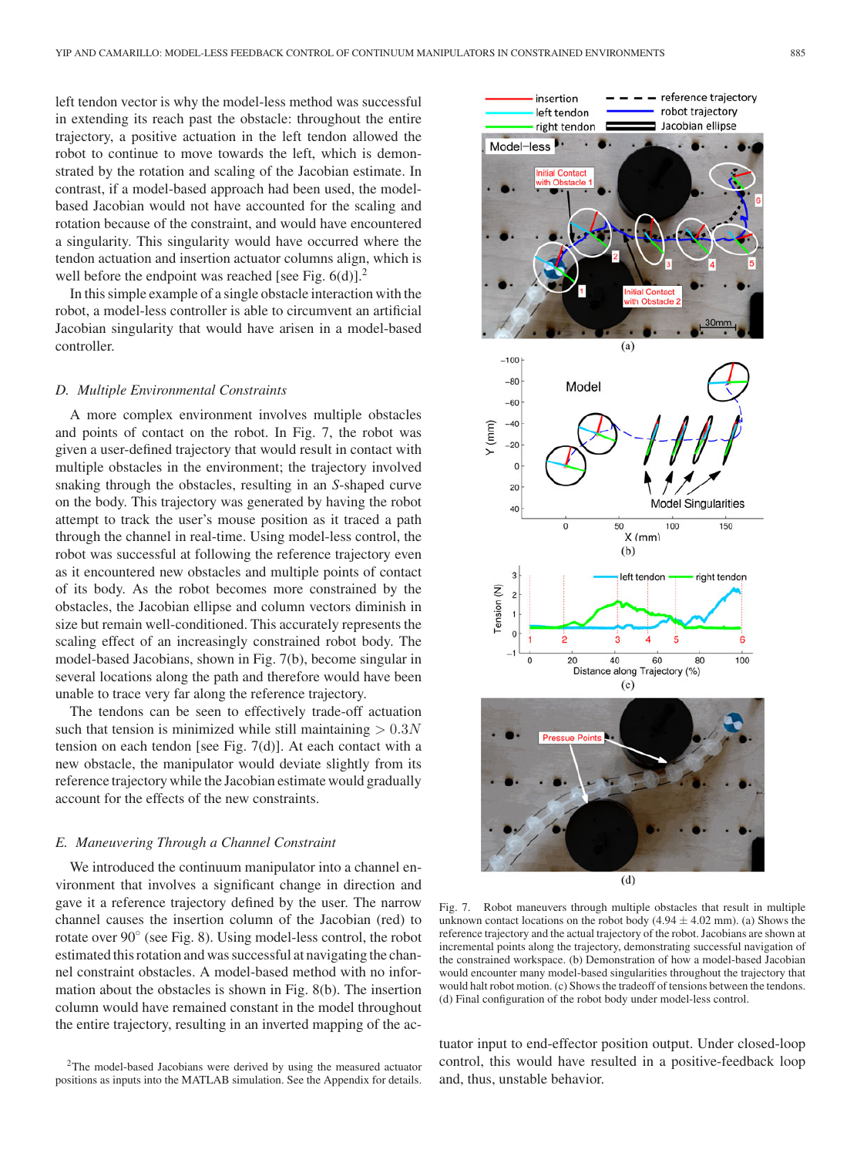left tendon vector is why the model-less method was successful in extending its reach past the obstacle: throughout the entire trajectory, a positive actuation in the left tendon allowed the robot to continue to move towards the left, which is demonstrated by the rotation and scaling of the Jacobian estimate. In contrast, if a model-based approach had been used, the modelbased Jacobian would not have accounted for the scaling and rotation because of the constraint, and would have encountered a singularity. This singularity would have occurred where the tendon actuation and insertion actuator columns align, which is well before the endpoint was reached [see Fig.  $6(d)$ ].<sup>2</sup>

In this simple example of a single obstacle interaction with the robot, a model-less controller is able to circumvent an artificial Jacobian singularity that would have arisen in a model-based controller.

#### *D. Multiple Environmental Constraints*

A more complex environment involves multiple obstacles and points of contact on the robot. In Fig. 7, the robot was given a user-defined trajectory that would result in contact with multiple obstacles in the environment; the trajectory involved snaking through the obstacles, resulting in an *S*-shaped curve on the body. This trajectory was generated by having the robot attempt to track the user's mouse position as it traced a path through the channel in real-time. Using model-less control, the robot was successful at following the reference trajectory even as it encountered new obstacles and multiple points of contact of its body. As the robot becomes more constrained by the obstacles, the Jacobian ellipse and column vectors diminish in size but remain well-conditioned. This accurately represents the scaling effect of an increasingly constrained robot body. The model-based Jacobians, shown in Fig. 7(b), become singular in several locations along the path and therefore would have been unable to trace very far along the reference trajectory.

The tendons can be seen to effectively trade-off actuation such that tension is minimized while still maintaining  $> 0.3N$ tension on each tendon [see Fig. 7(d)]. At each contact with a new obstacle, the manipulator would deviate slightly from its reference trajectory while the Jacobian estimate would gradually account for the effects of the new constraints.

# *E. Maneuvering Through a Channel Constraint*

We introduced the continuum manipulator into a channel environment that involves a significant change in direction and gave it a reference trajectory defined by the user. The narrow channel causes the insertion column of the Jacobian (red) to rotate over 90◦ (see Fig. 8). Using model-less control, the robot estimated this rotation and was successful at navigating the channel constraint obstacles. A model-based method with no information about the obstacles is shown in Fig. 8(b). The insertion column would have remained constant in the model throughout the entire trajectory, resulting in an inverted mapping of the ac-



Fig. 7. Robot maneuvers through multiple obstacles that result in multiple unknown contact locations on the robot body  $(4.94 \pm 4.02 \text{ mm})$ . (a) Shows the reference trajectory and the actual trajectory of the robot. Jacobians are shown at incremental points along the trajectory, demonstrating successful navigation of the constrained workspace. (b) Demonstration of how a model-based Jacobian would encounter many model-based singularities throughout the trajectory that would halt robot motion. (c) Shows the tradeoff of tensions between the tendons. (d) Final configuration of the robot body under model-less control.

tuator input to end-effector position output. Under closed-loop control, this would have resulted in a positive-feedback loop and, thus, unstable behavior.

<sup>2</sup>The model-based Jacobians were derived by using the measured actuator positions as inputs into the MATLAB simulation. See the Appendix for details.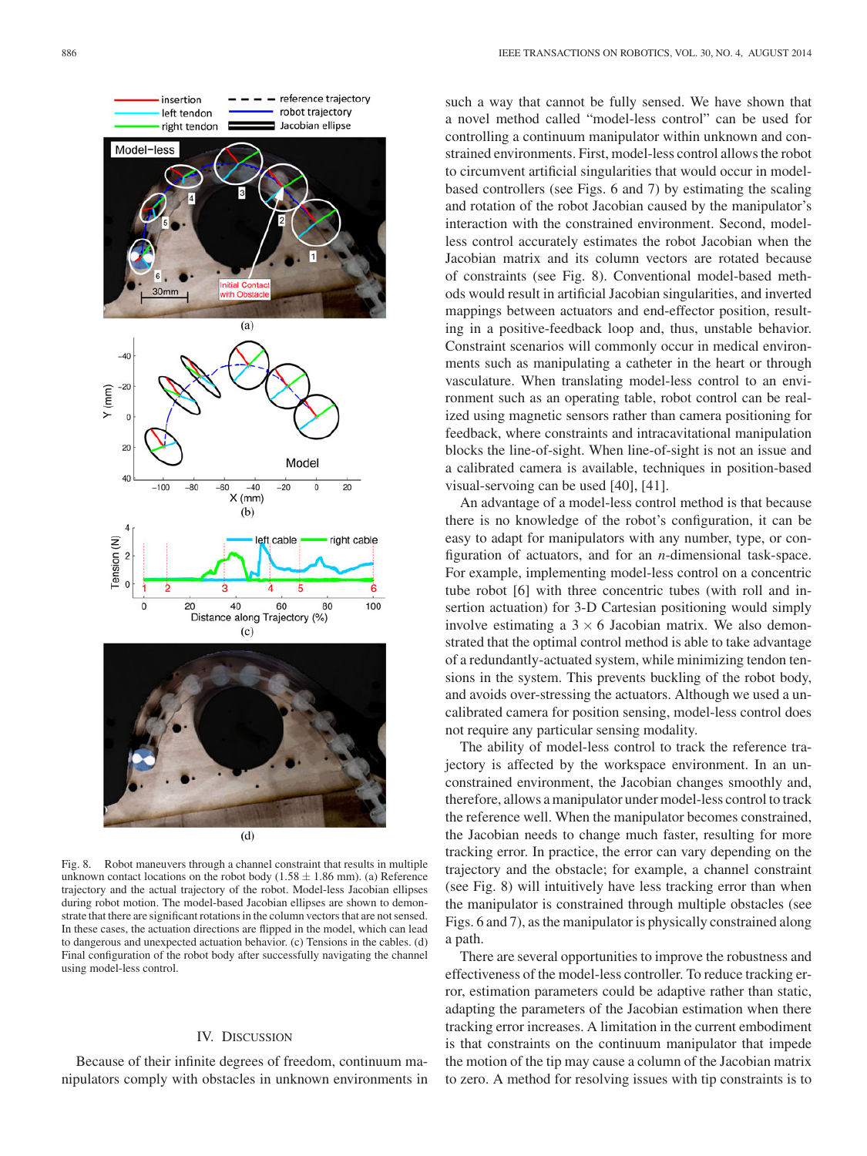

Fig. 8. Robot maneuvers through a channel constraint that results in multiple unknown contact locations on the robot body  $(1.58 \pm 1.86 \text{ mm})$ . (a) Reference trajectory and the actual trajectory of the robot. Model-less Jacobian ellipses during robot motion. The model-based Jacobian ellipses are shown to demonstrate that there are significant rotations in the column vectors that are not sensed. In these cases, the actuation directions are flipped in the model, which can lead to dangerous and unexpected actuation behavior. (c) Tensions in the cables. (d) Final configuration of the robot body after successfully navigating the channel using model-less control.

# IV. DISCUSSION

Because of their infinite degrees of freedom, continuum manipulators comply with obstacles in unknown environments in such a way that cannot be fully sensed. We have shown that a novel method called "model-less control" can be used for controlling a continuum manipulator within unknown and constrained environments. First, model-less control allows the robot to circumvent artificial singularities that would occur in modelbased controllers (see Figs. 6 and 7) by estimating the scaling and rotation of the robot Jacobian caused by the manipulator's interaction with the constrained environment. Second, modelless control accurately estimates the robot Jacobian when the Jacobian matrix and its column vectors are rotated because of constraints (see Fig. 8). Conventional model-based methods would result in artificial Jacobian singularities, and inverted mappings between actuators and end-effector position, resulting in a positive-feedback loop and, thus, unstable behavior. Constraint scenarios will commonly occur in medical environments such as manipulating a catheter in the heart or through vasculature. When translating model-less control to an environment such as an operating table, robot control can be realized using magnetic sensors rather than camera positioning for feedback, where constraints and intracavitational manipulation blocks the line-of-sight. When line-of-sight is not an issue and a calibrated camera is available, techniques in position-based visual-servoing can be used [40], [41].

An advantage of a model-less control method is that because there is no knowledge of the robot's configuration, it can be easy to adapt for manipulators with any number, type, or configuration of actuators, and for an *n*-dimensional task-space. For example, implementing model-less control on a concentric tube robot [6] with three concentric tubes (with roll and insertion actuation) for 3-D Cartesian positioning would simply involve estimating a  $3 \times 6$  Jacobian matrix. We also demonstrated that the optimal control method is able to take advantage of a redundantly-actuated system, while minimizing tendon tensions in the system. This prevents buckling of the robot body, and avoids over-stressing the actuators. Although we used a uncalibrated camera for position sensing, model-less control does not require any particular sensing modality.

The ability of model-less control to track the reference trajectory is affected by the workspace environment. In an unconstrained environment, the Jacobian changes smoothly and, therefore, allows a manipulator under model-less control to track the reference well. When the manipulator becomes constrained, the Jacobian needs to change much faster, resulting for more tracking error. In practice, the error can vary depending on the trajectory and the obstacle; for example, a channel constraint (see Fig. 8) will intuitively have less tracking error than when the manipulator is constrained through multiple obstacles (see Figs. 6 and 7), as the manipulator is physically constrained along a path.

There are several opportunities to improve the robustness and effectiveness of the model-less controller. To reduce tracking error, estimation parameters could be adaptive rather than static, adapting the parameters of the Jacobian estimation when there tracking error increases. A limitation in the current embodiment is that constraints on the continuum manipulator that impede the motion of the tip may cause a column of the Jacobian matrix to zero. A method for resolving issues with tip constraints is to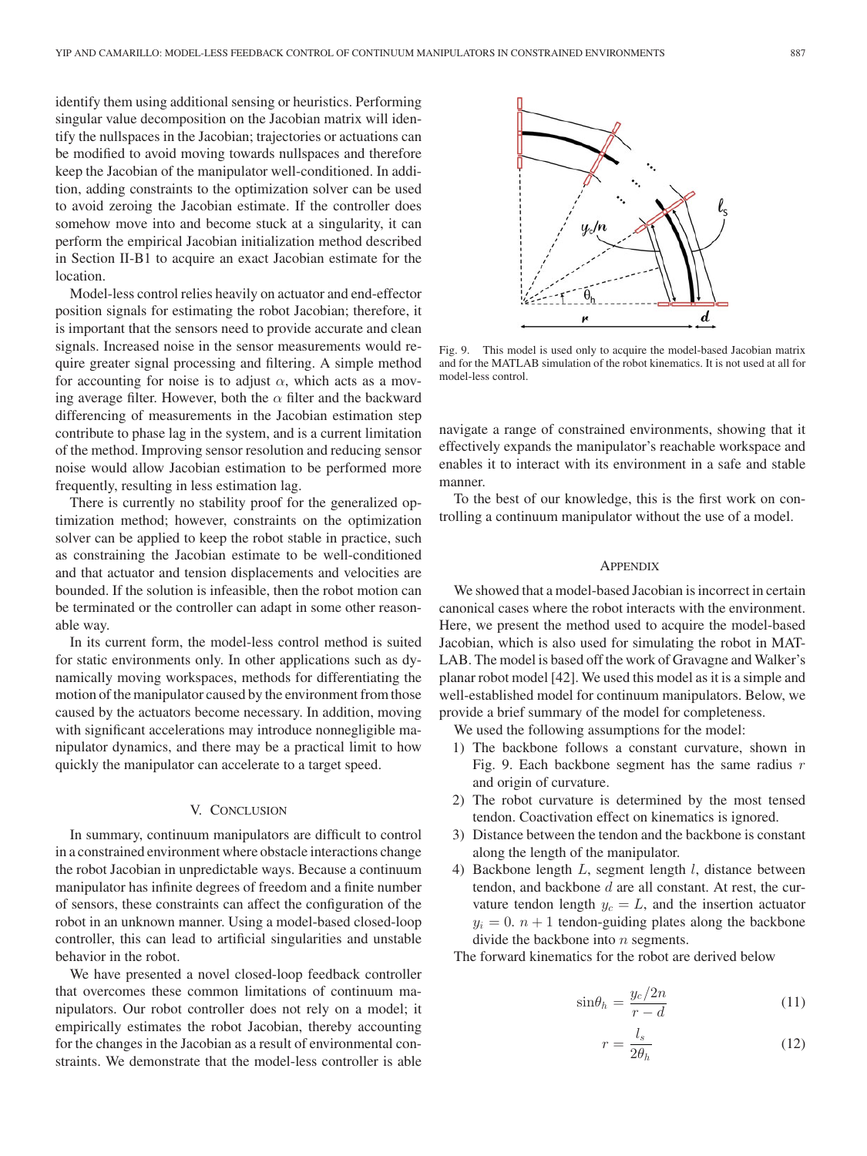identify them using additional sensing or heuristics. Performing singular value decomposition on the Jacobian matrix will identify the nullspaces in the Jacobian; trajectories or actuations can be modified to avoid moving towards nullspaces and therefore keep the Jacobian of the manipulator well-conditioned. In addition, adding constraints to the optimization solver can be used to avoid zeroing the Jacobian estimate. If the controller does somehow move into and become stuck at a singularity, it can perform the empirical Jacobian initialization method described in Section II-B1 to acquire an exact Jacobian estimate for the location.

Model-less control relies heavily on actuator and end-effector position signals for estimating the robot Jacobian; therefore, it is important that the sensors need to provide accurate and clean signals. Increased noise in the sensor measurements would require greater signal processing and filtering. A simple method for accounting for noise is to adjust  $\alpha$ , which acts as a moving average filter. However, both the  $\alpha$  filter and the backward differencing of measurements in the Jacobian estimation step contribute to phase lag in the system, and is a current limitation of the method. Improving sensor resolution and reducing sensor noise would allow Jacobian estimation to be performed more frequently, resulting in less estimation lag.

There is currently no stability proof for the generalized optimization method; however, constraints on the optimization solver can be applied to keep the robot stable in practice, such as constraining the Jacobian estimate to be well-conditioned and that actuator and tension displacements and velocities are bounded. If the solution is infeasible, then the robot motion can be terminated or the controller can adapt in some other reasonable way.

In its current form, the model-less control method is suited for static environments only. In other applications such as dynamically moving workspaces, methods for differentiating the motion of the manipulator caused by the environment from those caused by the actuators become necessary. In addition, moving with significant accelerations may introduce nonnegligible manipulator dynamics, and there may be a practical limit to how quickly the manipulator can accelerate to a target speed.

# V. CONCLUSION

In summary, continuum manipulators are difficult to control in a constrained environment where obstacle interactions change the robot Jacobian in unpredictable ways. Because a continuum manipulator has infinite degrees of freedom and a finite number of sensors, these constraints can affect the configuration of the robot in an unknown manner. Using a model-based closed-loop controller, this can lead to artificial singularities and unstable behavior in the robot.

We have presented a novel closed-loop feedback controller that overcomes these common limitations of continuum manipulators. Our robot controller does not rely on a model; it empirically estimates the robot Jacobian, thereby accounting for the changes in the Jacobian as a result of environmental constraints. We demonstrate that the model-less controller is able



Fig. 9. This model is used only to acquire the model-based Jacobian matrix and for the MATLAB simulation of the robot kinematics. It is not used at all for model-less control.

navigate a range of constrained environments, showing that it effectively expands the manipulator's reachable workspace and enables it to interact with its environment in a safe and stable manner.

To the best of our knowledge, this is the first work on controlling a continuum manipulator without the use of a model.

#### **APPENDIX**

We showed that a model-based Jacobian is incorrect in certain canonical cases where the robot interacts with the environment. Here, we present the method used to acquire the model-based Jacobian, which is also used for simulating the robot in MAT-LAB. The model is based off the work of Gravagne and Walker's planar robot model [42]. We used this model as it is a simple and well-established model for continuum manipulators. Below, we provide a brief summary of the model for completeness.

We used the following assumptions for the model:

- 1) The backbone follows a constant curvature, shown in Fig. 9. Each backbone segment has the same radius  $r$ and origin of curvature.
- 2) The robot curvature is determined by the most tensed tendon. Coactivation effect on kinematics is ignored.
- 3) Distance between the tendon and the backbone is constant along the length of the manipulator.
- 4) Backbone length L, segment length l, distance between tendon, and backbone  $d$  are all constant. At rest, the curvature tendon length  $y_c = L$ , and the insertion actuator  $y_i = 0$ .  $n + 1$  tendon-guiding plates along the backbone divide the backbone into  $n$  segments.

The forward kinematics for the robot are derived below

$$
\sin \theta_h = \frac{y_c/2n}{r - d} \tag{11}
$$

$$
r = \frac{l_s}{2\theta_h} \tag{12}
$$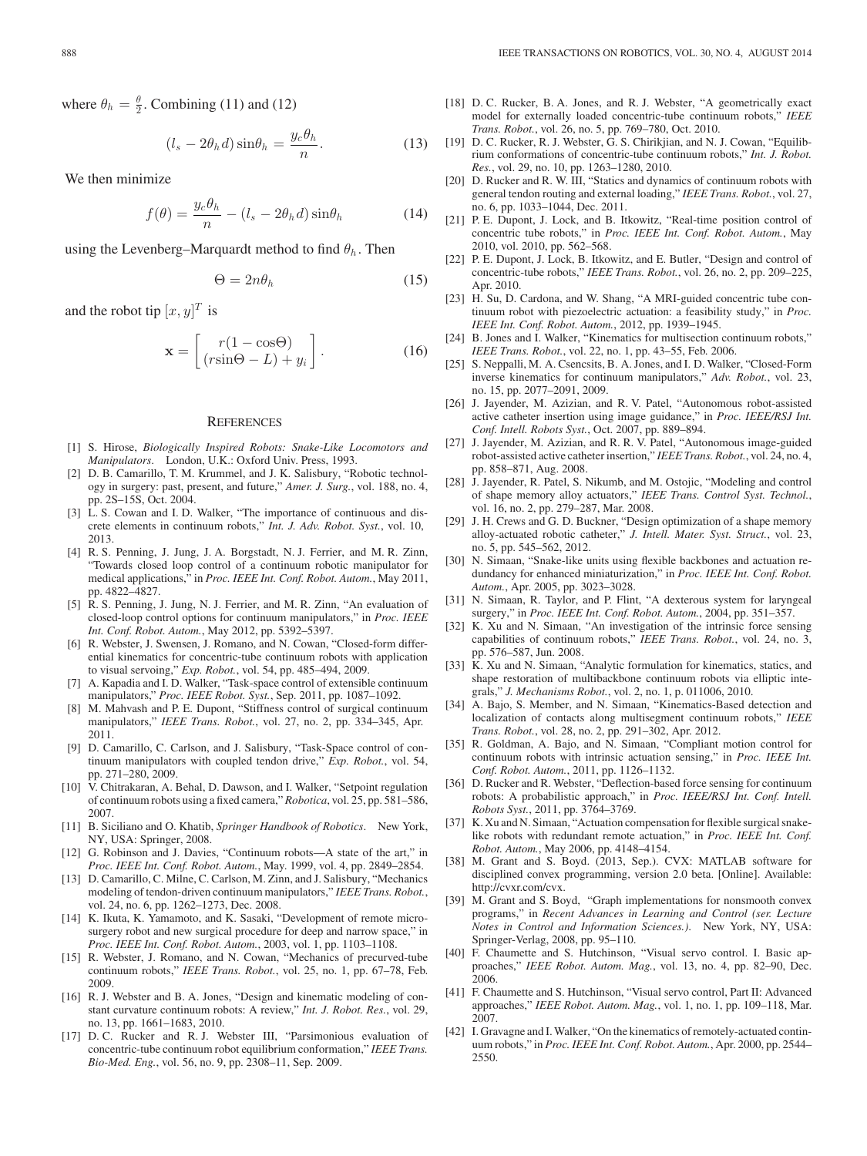where  $\theta_h = \frac{\theta}{2}$ . Combining (11) and (12)

$$
(l_s - 2\theta_h d)\sin\theta_h = \frac{y_c \theta_h}{n}.
$$
 (13)

We then minimize

$$
f(\theta) = \frac{y_c \theta_h}{n} - (l_s - 2\theta_h d) \sin \theta_h \tag{14}
$$

using the Levenberg–Marquardt method to find  $\theta_h$ . Then

$$
\Theta = 2n\theta_h \tag{15}
$$

and the robot tip  $[x, y]^T$  is

$$
\mathbf{x} = \begin{bmatrix} r(1 - \cos\Theta) \\ (r\sin\Theta - L) + y_i \end{bmatrix}.
$$
 (16)

#### **REFERENCES**

- [1] S. Hirose, *Biologically Inspired Robots: Snake-Like Locomotors and Manipulators*. London, U.K.: Oxford Univ. Press, 1993.
- [2] D. B. Camarillo, T. M. Krummel, and J. K. Salisbury, "Robotic technology in surgery: past, present, and future," *Amer. J. Surg.*, vol. 188, no. 4, pp. 2S–15S, Oct. 2004.
- [3] L. S. Cowan and I. D. Walker, "The importance of continuous and discrete elements in continuum robots," *Int. J. Adv. Robot. Syst.*, vol. 10, 2013.
- [4] R. S. Penning, J. Jung, J. A. Borgstadt, N. J. Ferrier, and M. R. Zinn, "Towards closed loop control of a continuum robotic manipulator for medical applications," in *Proc. IEEE Int. Conf. Robot. Autom.*, May 2011, pp. 4822–4827.
- [5] R. S. Penning, J. Jung, N. J. Ferrier, and M. R. Zinn, "An evaluation of closed-loop control options for continuum manipulators," in *Proc. IEEE Int. Conf. Robot. Autom.*, May 2012, pp. 5392–5397.
- [6] R. Webster, J. Swensen, J. Romano, and N. Cowan, "Closed-form differential kinematics for concentric-tube continuum robots with application to visual servoing," *Exp. Robot.*, vol. 54, pp. 485–494, 2009.
- [7] A. Kapadia and I. D. Walker, "Task-space control of extensible continuum manipulators," *Proc. IEEE Robot. Syst.*, Sep. 2011, pp. 1087–1092.
- [8] M. Mahvash and P. E. Dupont, "Stiffness control of surgical continuum manipulators," *IEEE Trans. Robot.*, vol. 27, no. 2, pp. 334–345, Apr. 2011.
- [9] D. Camarillo, C. Carlson, and J. Salisbury, "Task-Space control of continuum manipulators with coupled tendon drive," *Exp. Robot.*, vol. 54, pp. 271–280, 2009.
- [10] V. Chitrakaran, A. Behal, D. Dawson, and I. Walker, "Setpoint regulation of continuum robots using a fixed camera," *Robotica*, vol. 25, pp. 581–586, 2007.
- [11] B. Siciliano and O. Khatib, *Springer Handbook of Robotics*. New York, NY, USA: Springer, 2008.
- [12] G. Robinson and J. Davies, "Continuum robots—A state of the art," in *Proc. IEEE Int. Conf. Robot. Autom.*, May. 1999, vol. 4, pp. 2849–2854.
- [13] D. Camarillo, C. Milne, C. Carlson, M. Zinn, and J. Salisbury, "Mechanics modeling of tendon-driven continuum manipulators," *IEEE Trans. Robot.*, vol. 24, no. 6, pp. 1262–1273, Dec. 2008.
- [14] K. Ikuta, K. Yamamoto, and K. Sasaki, "Development of remote microsurgery robot and new surgical procedure for deep and narrow space," in *Proc. IEEE Int. Conf. Robot. Autom.*, 2003, vol. 1, pp. 1103–1108.
- [15] R. Webster, J. Romano, and N. Cowan, "Mechanics of precurved-tube continuum robots," *IEEE Trans. Robot.*, vol. 25, no. 1, pp. 67–78, Feb. 2009.
- [16] R. J. Webster and B. A. Jones, "Design and kinematic modeling of constant curvature continuum robots: A review," *Int. J. Robot. Res.*, vol. 29, no. 13, pp. 1661–1683, 2010.
- [17] D. C. Rucker and R. J. Webster III, "Parsimonious evaluation of concentric-tube continuum robot equilibrium conformation," *IEEE Trans. Bio-Med. Eng.*, vol. 56, no. 9, pp. 2308–11, Sep. 2009.
- [18] D. C. Rucker, B. A. Jones, and R. J. Webster, "A geometrically exact model for externally loaded concentric-tube continuum robots," *IEEE Trans. Robot.*, vol. 26, no. 5, pp. 769–780, Oct. 2010.
- [19] D. C. Rucker, R. J. Webster, G. S. Chirikjian, and N. J. Cowan, "Equilibrium conformations of concentric-tube continuum robots," *Int. J. Robot. Res.*, vol. 29, no. 10, pp. 1263–1280, 2010.
- [20] D. Rucker and R. W. III, "Statics and dynamics of continuum robots with general tendon routing and external loading," *IEEE Trans. Robot.*, vol. 27, no. 6, pp. 1033–1044, Dec. 2011.
- [21] P. E. Dupont, J. Lock, and B. Itkowitz, "Real-time position control of concentric tube robots," in *Proc. IEEE Int. Conf. Robot. Autom.*, May 2010, vol. 2010, pp. 562–568.
- [22] P. E. Dupont, J. Lock, B. Itkowitz, and E. Butler, "Design and control of concentric-tube robots," *IEEE Trans. Robot.*, vol. 26, no. 2, pp. 209–225, Apr. 2010.
- [23] H. Su, D. Cardona, and W. Shang, "A MRI-guided concentric tube continuum robot with piezoelectric actuation: a feasibility study," in *Proc. IEEE Int. Conf. Robot. Autom.*, 2012, pp. 1939–1945.
- [24] B. Jones and I. Walker, "Kinematics for multisection continuum robots," *IEEE Trans. Robot.*, vol. 22, no. 1, pp. 43–55, Feb. 2006.
- [25] S. Neppalli, M. A. Csencsits, B. A. Jones, and I. D. Walker, "Closed-Form inverse kinematics for continuum manipulators," *Adv. Robot.*, vol. 23, no. 15, pp. 2077–2091, 2009.
- [26] J. Jayender, M. Azizian, and R. V. Patel, "Autonomous robot-assisted active catheter insertion using image guidance," in *Proc. IEEE/RSJ Int. Conf. Intell. Robots Syst.*, Oct. 2007, pp. 889–894.
- [27] J. Jayender, M. Azizian, and R. R. V. Patel, "Autonomous image-guided robot-assisted active catheter insertion," *IEEE Trans. Robot.*, vol. 24, no. 4, pp. 858–871, Aug. 2008.
- [28] J. Jayender, R. Patel, S. Nikumb, and M. Ostojic, "Modeling and control of shape memory alloy actuators," *IEEE Trans. Control Syst. Technol.*, vol. 16, no. 2, pp. 279–287, Mar. 2008.
- [29] J. H. Crews and G. D. Buckner, "Design optimization of a shape memory alloy-actuated robotic catheter," *J. Intell. Mater. Syst. Struct.*, vol. 23, no. 5, pp. 545–562, 2012.
- [30] N. Simaan, "Snake-like units using flexible backbones and actuation redundancy for enhanced miniaturization," in *Proc. IEEE Int. Conf. Robot. Autom.*, Apr. 2005, pp. 3023–3028.
- [31] N. Simaan, R. Taylor, and P. Flint, "A dexterous system for laryngeal surgery," in *Proc. IEEE Int. Conf. Robot. Autom.*, 2004, pp. 351–357.
- [32] K. Xu and N. Simaan, "An investigation of the intrinsic force sensing capabilities of continuum robots," *IEEE Trans. Robot.*, vol. 24, no. 3, pp. 576–587, Jun. 2008.
- [33] K. Xu and N. Simaan, "Analytic formulation for kinematics, statics, and shape restoration of multibackbone continuum robots via elliptic integrals," *J. Mechanisms Robot.*, vol. 2, no. 1, p. 011006, 2010.
- [34] A. Bajo, S. Member, and N. Simaan, "Kinematics-Based detection and localization of contacts along multisegment continuum robots," *IEEE Trans. Robot.*, vol. 28, no. 2, pp. 291–302, Apr. 2012.
- [35] R. Goldman, A. Bajo, and N. Simaan, "Compliant motion control for continuum robots with intrinsic actuation sensing," in *Proc. IEEE Int. Conf. Robot. Autom.*, 2011, pp. 1126–1132.
- [36] D. Rucker and R. Webster, "Deflection-based force sensing for continuum robots: A probabilistic approach," in *Proc. IEEE/RSJ Int. Conf. Intell. Robots Syst.*, 2011, pp. 3764–3769.
- [37] K. Xu and N. Simaan, "Actuation compensation for flexible surgical snakelike robots with redundant remote actuation," in *Proc. IEEE Int. Conf. Robot. Autom.*, May 2006, pp. 4148–4154.
- [38] M. Grant and S. Boyd. (2013, Sep.). CVX: MATLAB software for disciplined convex programming, version 2.0 beta. [Online]. Available: http://cvxr.com/cvx.
- [39] M. Grant and S. Boyd, "Graph implementations for nonsmooth convex programs," in *Recent Advances in Learning and Control (ser. Lecture Notes in Control and Information Sciences.)*. New York, NY, USA: Springer-Verlag, 2008, pp. 95–110.
- [40] F. Chaumette and S. Hutchinson, "Visual servo control. I. Basic approaches," *IEEE Robot. Autom. Mag.*, vol. 13, no. 4, pp. 82–90, Dec. 2006.
- [41] F. Chaumette and S. Hutchinson, "Visual servo control, Part II: Advanced approaches," *IEEE Robot. Autom. Mag.*, vol. 1, no. 1, pp. 109–118, Mar. 2007.
- [42] I. Gravagne and I. Walker, "On the kinematics of remotely-actuated continuum robots," in *Proc. IEEE Int. Conf. Robot. Autom.*, Apr. 2000, pp. 2544– 2550.